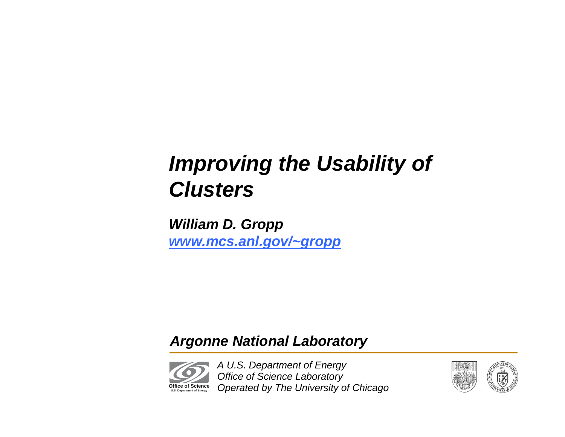# *Improving the Usability of Clusters*

*William D. Gropp www.mcs.anl.gov/~gropp*

### *Argonne National Laboratory*



*A U.S. Department of Energy Office of Science Laboratory* **Office of Science Coperated by The University of Chicago** 

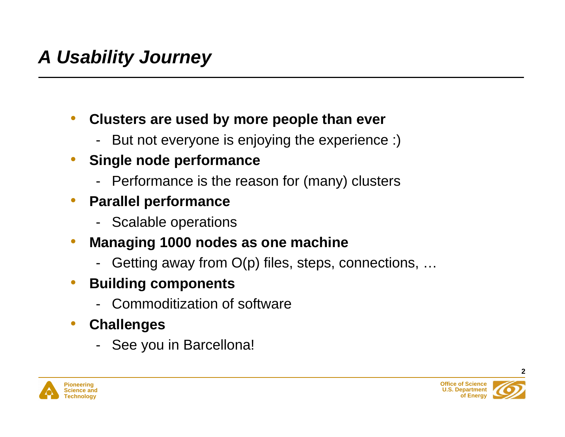# *A Usability Journey*

#### •**Clusters are used by more people than ever**

-But not everyone is enjoying the experience :)

#### •**Single node performance**

-Performance is the reason for (many) clusters

#### $\bullet$ **Parallel performance**

-Scalable operations

#### •**Managing 1000 nodes as one machine**

-Getting away from O(p) files, steps, connections, …

#### $\bullet$ **Building components**

- -Commoditization of software
- $\bullet$  **Challenges**
	- -See you in Barcellona!



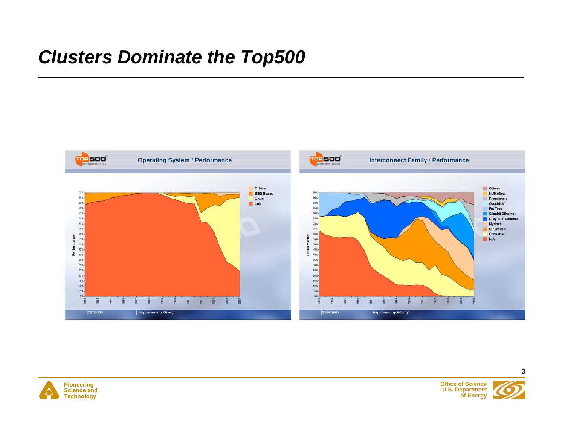





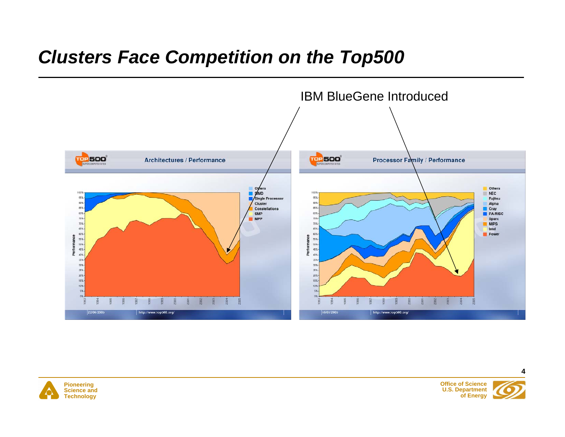### *Clusters Face Competition on the Top500*







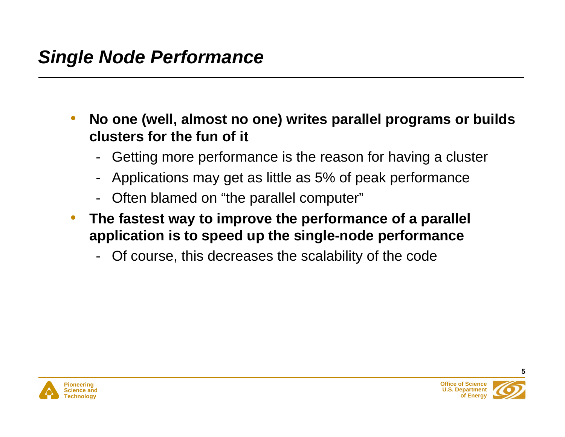- • **No one (well, almost no one) writes parallel programs or builds clusters for the fun of it**
	- -Getting more performance is the reason for having a cluster
	- -Applications may get as little as 5% of peak performance
	- -Often blamed on "the parallel computer"
- • **The fastest way to improve the performance of a parallel application is to speed up the single-node performance**
	- -Of course, this decreases the scalability of the code



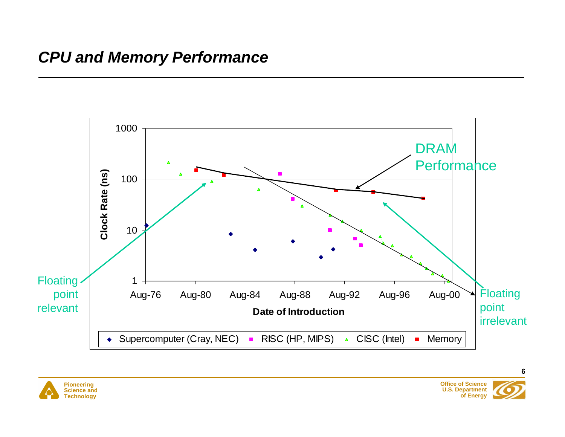

**Office of Science U.S. Department of Energy**

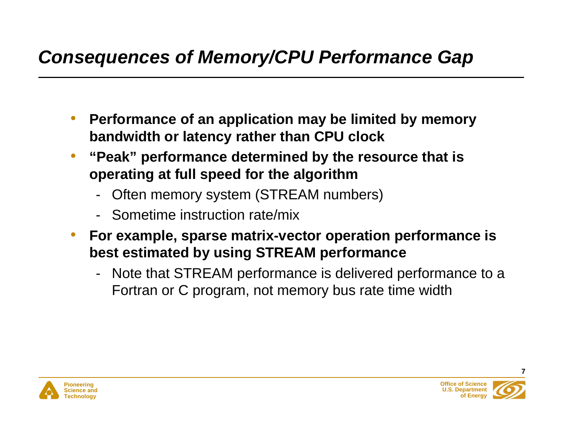## *Consequences of Memory/CPU Performance Gap*

- • **Performance of an application may be limited by memory bandwidth or latency rather than CPU clock**
- $\bullet$  **"Peak" performance determined by the resource that is operating at full speed for the algorithm**
	- -Often memory system (STREAM numbers)
	- Sometime instruction rate/mix
- $\bullet$  **For example, sparse matrix-vector operation performance is best estimated by using STREAM performance**
	- - Note that STREAM performance is delivered performance to a Fortran or C program, not memory bus rate time width



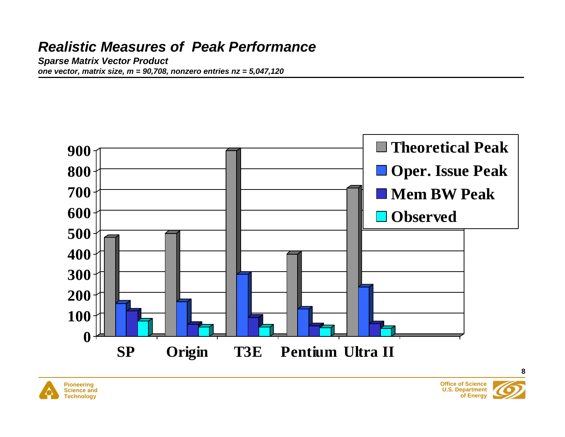### *Realistic Measures of Peak Performance*

*Sparse Matrix Vector Product one vector, matrix size, m = 90,708, nonzero entries nz = 5,047,120*





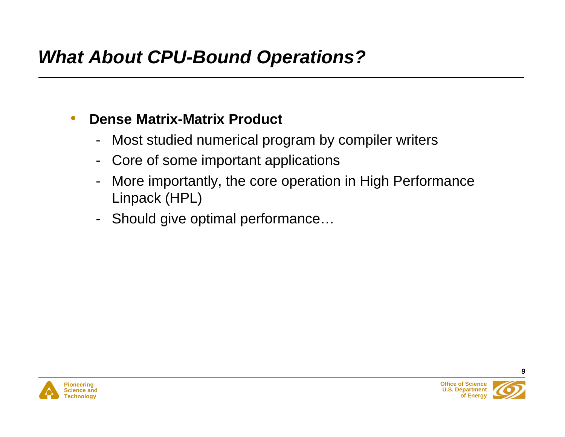### *What About CPU-Bound Operations?*

#### $\bullet$ **Dense Matrix-Matrix Product**

- -Most studied numerical program by compiler writers
- -Core of some important applications
- - More importantly, the core operation in High Performance Linpack (HPL)
- -Should give optimal performance…



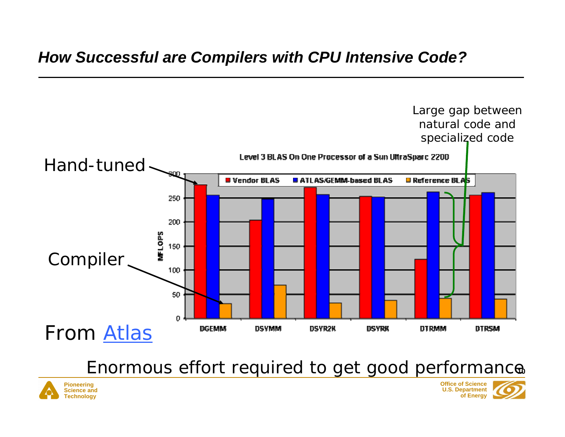

**10** Enormous effort required to get good performance



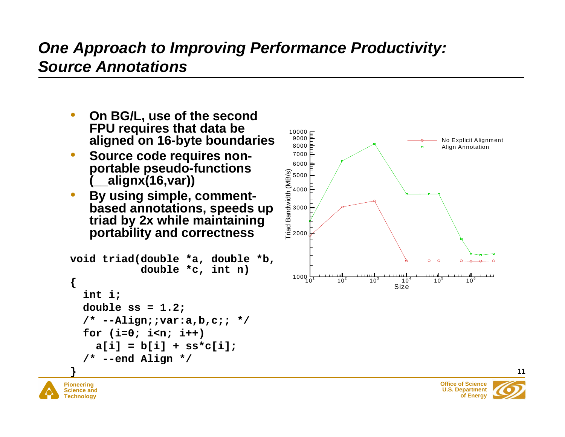### *One Approach to Improving Performance Productivity: Source Annotations*

- • **On BG/L, use of the second FPU requires that data be aligned on 16-byte boundaries**
- $\bullet$  **Source code requires nonportable pseudo-functions (\_\_alignx(16,var))**
- • **By using simple, commentbased annotations, speeds up triad by 2x while maintaining portability and correctness**

```
void triad(double *a, double *b,
           double *c, int n)
{
  int i;
  double ss = 1.2;
  /* --Align;;var:a,b,c;; */
  for (i=0; i<n; i++)
    a[i] = b[i] + ss*c[i];
  /* --end Align */
}
```
**Pioneering Science andTechnology**



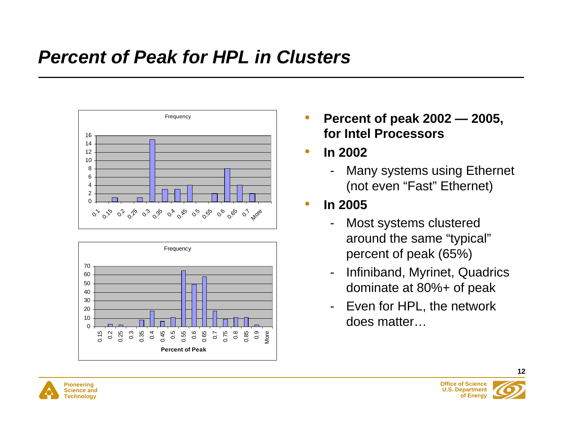### *Percent of Peak for HPL in Clusters*





- $\bullet$  **Percent of peak 2002 — 2005, for Intel Processors**
- • **In 2002**
	- Many systems using Ethernet (not even "Fast" Ethernet)
- • **In 2005**
	- - Most systems clustered around the same "typical" percent of peak (65%)
	- - Infiniband, Myrinet, Quadrics dominate at 80%+ of peak
	- - Even for HPL, the network does matter…



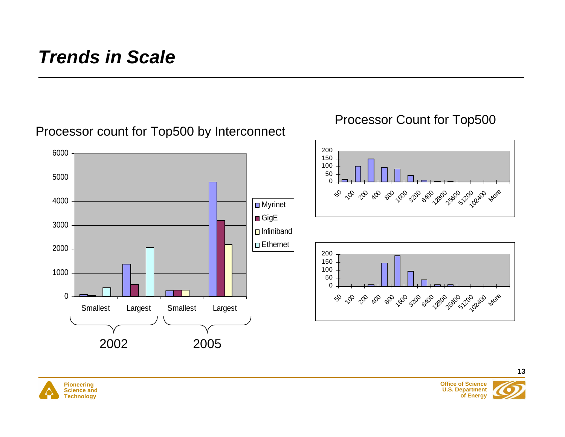### *Trends in Scale*



### Processor count for Top500 by Interconnect

### Processor Count for Top500





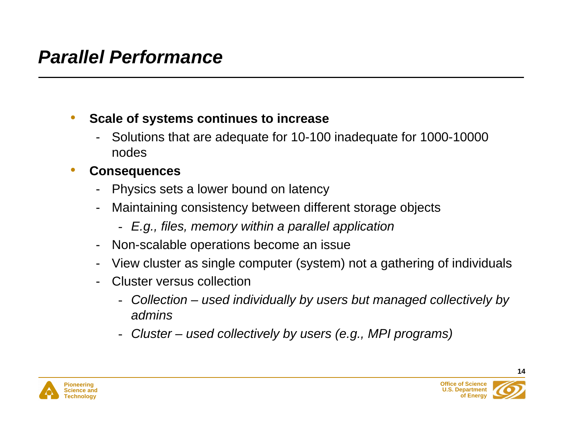#### •**Scale of systems continues to increase**

 Solutions that are adequate for 10-100 inadequate for 1000-10000 nodes

#### •**Consequences**

- Physics sets a lower bound on latency
- Maintaining consistency between different storage objects
	- *E.g., files, memory within a parallel application*
- Non-scalable operations become an issue
- View cluster as single computer (system) not a gathering of individuals
- Cluster versus collection
	- *Collection – used individually by users but managed collectively by admins*
	- *Cluster – used collectively by users (e.g., MPI programs)*



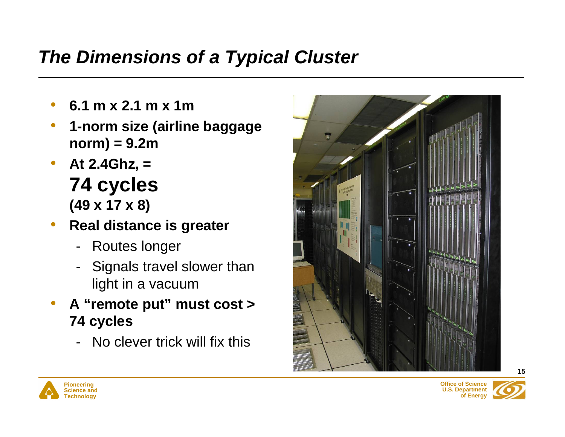### *The Dimensions of a Typical Cluster*

- •**6.1 m x 2.1 m x 1m**
- • **1-norm size (airline baggage norm) = 9.2m**
- $\bullet$  **At 2.4Ghz, = 74 cycles (49 x 17 x 8)**
- $\bullet$  **Real distance is greater**
	- -Routes longer
	- - Signals travel slower than light in a vacuum
- • **A "remote put" must cost > 74 cycles**
	- No clever trick will fix this





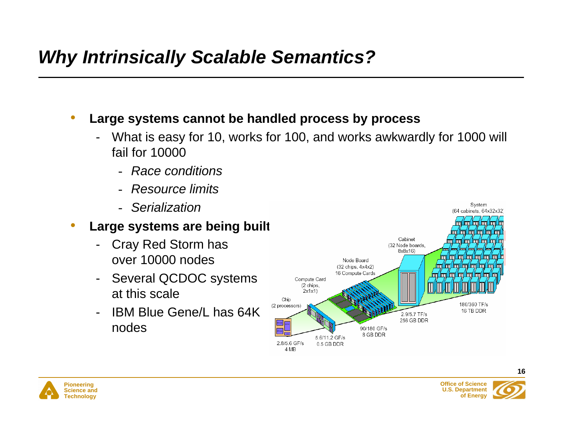### *Why Intrinsically Scalable Semantics?*

- • **Large systems cannot be handled process by process**
	- - What is easy for 10, works for 100, and works awkwardly for 1000 will fail for 10000
		- *Race conditions*
		- *Resource limits*
		- *Serialization*

#### •**Large systems are being built**

- Cray Red Storm has over 10000 nodes
- Several QCDOC systems at this scale
- IBM Blue Gene/L has 64Knodes





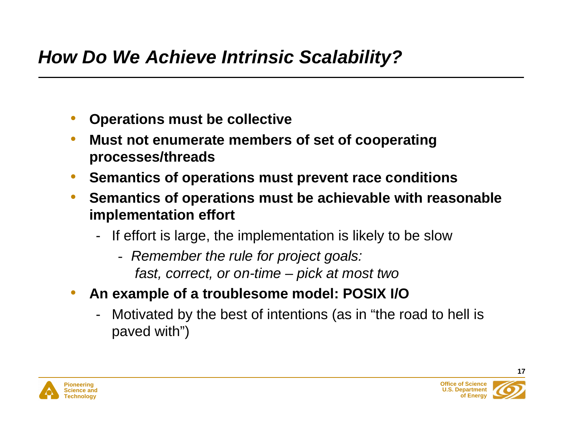### *How Do We Achieve Intrinsic Scalability?*

- •**Operations must be collective**
- • **Must not enumerate members of set of cooperating processes/threads**
- •**Semantics of operations must prevent race conditions**
- • **Semantics of operations must be achievable with reasonable implementation effort**
	- - If effort is large, the implementation is likely to be slow
		- - *Remember the rule for project goals: fast, correct, or on-time – pick at most two*
- • **An example of a troublesome model: POSIX I/O**
	- - Motivated by the best of intentions (as in "the road to hell is paved with")



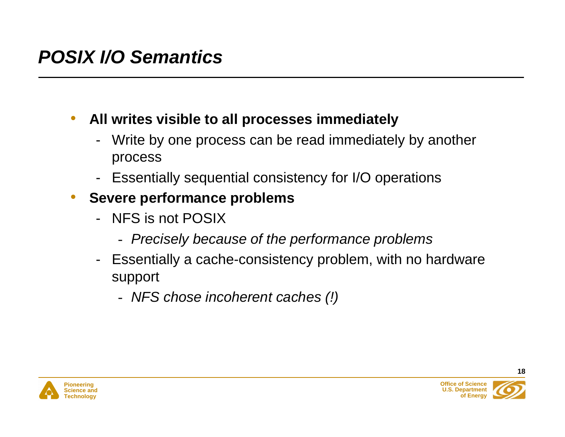- $\bullet$  **All writes visible to all processes immediately**
	- - Write by one process can be read immediately by another process
	- -Essentially sequential consistency for I/O operations
- $\bullet$  **Severe performance problems**
	- NFS is not POSIX
		- -*Precisely because of the performance problems*
	- Essentially a cache-consistency problem, with no hardware support
		- *NFS chose incoherent caches (!)*



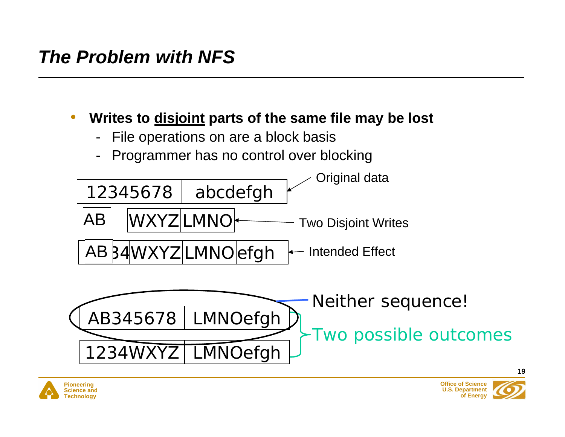#### $\bullet$ **Writes to disjoint parts of the same file may be lost**

- -File operations on are a block basis
- -Programmer has no control over blocking



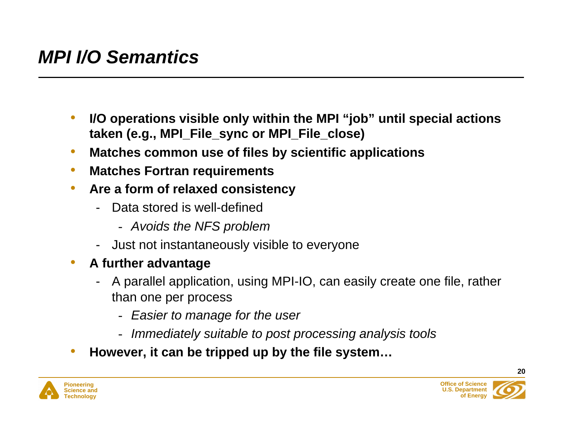- • **I/O operations visible only within the MPI "job" until special actions taken (e.g., MPI\_File\_sync or MPI\_File\_close)**
- •**Matches common use of files by scientific applications**
- $\bullet$ **Matches Fortran requirements**
- $\bullet$  **Are a form of relaxed consistency**
	- Data stored is well-defined
		- *Avoids the NFS problem*
	- Just not instantaneously visible to everyone
- $\bullet$  **A further advantage**
	- A parallel application, using MPI-IO, can easily create one file, rather than one per process
		- *Easier to manage for the user*
		- *Immediately suitable to post processing analysis tools*
- •**However, it can be tripped up by the file system…**



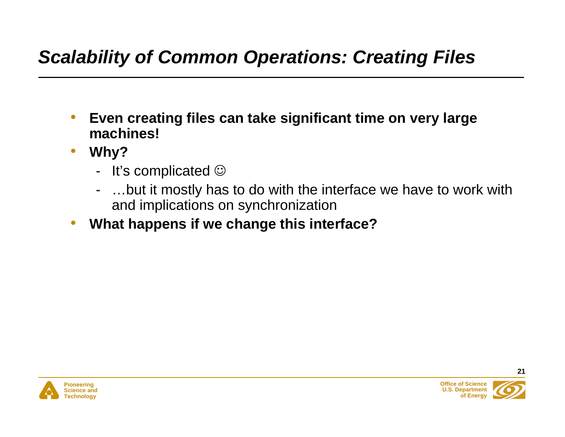## *Scalability of Common Operations: Creating Files*

- $\bullet$  **Even creating files can take significant time on very large machines!**
- $\bullet$  **Why?**
	- -It's complicated ☺
	- - …but it mostly has to do with the interface we have to work with and implications on synchronization
- •**What happens if we change this interface?**



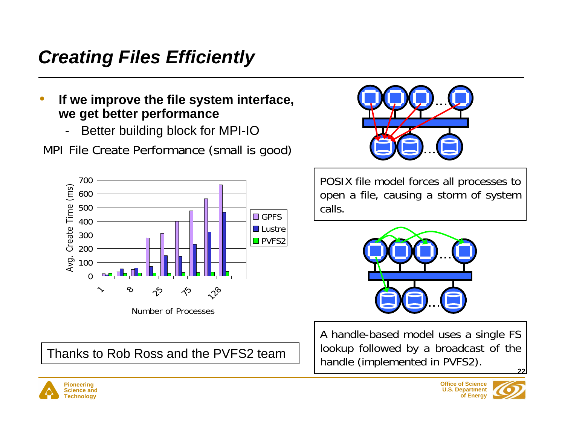## *Creating Files Efficiently*

- $\bullet$  **If we improve the file system interface, we get better performance**
	- -Better building block for MPI-IO

MPI File Create Performance (small is good)



Number of Processes

Thanks to Rob Ross and the PVFS2 team



POSIX file model forces all processes to open a file, causing a storm of system calls.



**22**A handle-based model uses a single FS lookup followed by a broadcast of the handle (implemented in PVFS2).



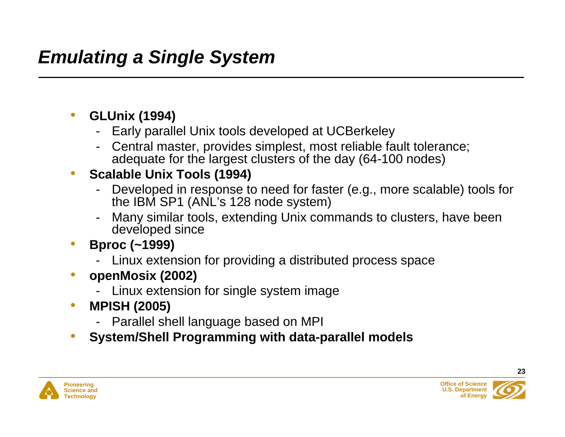#### $\bullet$ **GLUnix (1994)**

- Early parallel Unix tools developed at UCBerkeley
- - Central master, provides simplest, most reliable fault tolerance; adequate for the largest clusters of the day (64-100 nodes)

#### $\bullet$ **Scalable Unix Tools (1994)**

- Developed in response to need for faster (e.g., more scalable) tools for the IBM SP1 (ANL's 128 node system)
- - Many similar tools, extending Unix commands to clusters, have been developed since
- $\bullet$  **Bproc (~1999)**
	- Linux extension for providing a distributed process space
- $\bullet$  **openMosix (2002)**
	- Linux extension for single system image
- • **MPISH (2005)**
	- -Parallel shell language based on MPI
- •**System/Shell Programming with data-parallel models**



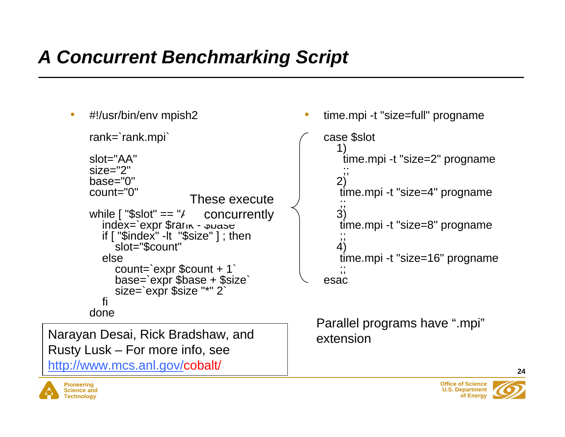# *A Concurrent Benchmarking Script*

 $\bullet$  #!/usr/bin/env mpish2 rank=`rank.mpi` slot="AA"size="2"base="0"count="0"while  $[$  "\$slot" == " $/$  concu<br>index=`expr \$rarik -  $\delta$ puase if [ "\$index" -lt "\$size" ] ; then slot="\$count" elsecount=`expr \$count + 1` base=`expr \$base + \$size` size=`expr \$size "\*" 2` fidoneThese executeconcurrently

Narayan Desai, Rick Bradshaw, and Rusty Lusk – For more info, see http://www.mcs.anl.gov/cobalt/

•time.mpi -t "size=full" progname

case \$slot 1) time.mpi -t "size=2" progname ;;<br>;; 2) time.mpi -t "size=4" progname ;;<br>;; 3) time.mpi -t "size=8" progname ;;<br>;; 4) time.mpi -t "size=16" progname ;;<br>;; esac

Parallel programs have ".mpi" extension





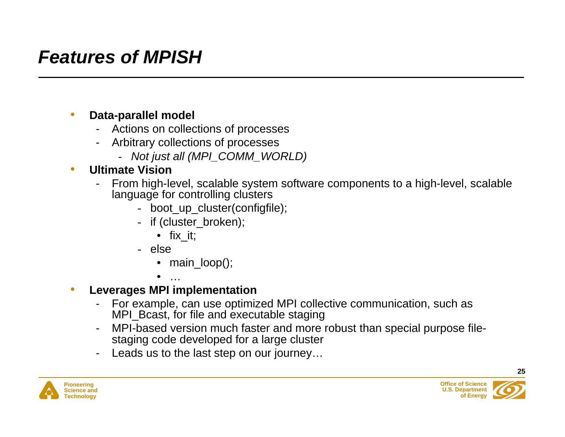## *Features of MPISH*

#### $\bullet$ **Data-parallel model**

- Actions on collections of processes
- Arbitrary collections of processes
	- *Not just all (MPI\_COMM\_WORLD)*
- $\bullet$  **Ultimate Vision**
	- From high-level, scalable system software components to a high-level, scalable language for controlling clusters
		- boot\_up\_cluster(configfile);
		- if (cluster\_broken);
			- fix\_it;
		- else
			- main\_loop();
			- •…
- • **Leverages MPI implementation**
	- For example, can use optimized MPI collective communication, such as MPI Bcast, for file and executable staging
	- MPI-based version much faster and more robust than special purpose filestaging code developed for a large cluster
	- Leads us to the last step on our journey…



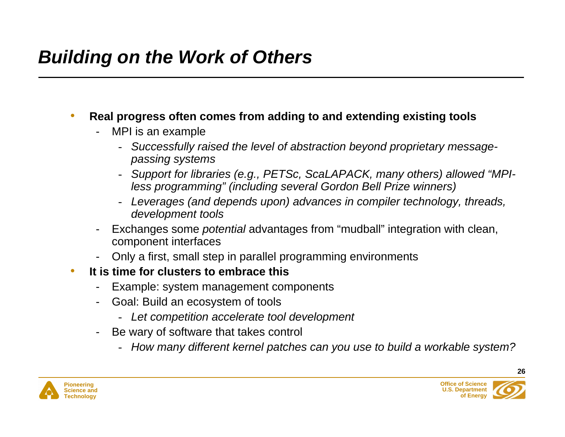## *Building on the Work of Others*

- • **Real progress often comes from adding to and extending existing tools**
	- MPI is an example
		- *Successfully raised the level of abstraction beyond proprietary messagepassing systems*
		- *Support for libraries (e.g., PETSc, ScaLAPACK, many others) allowed "MPIless programming" (including several Gordon Bell Prize winners)*
		- *Leverages (and depends upon) advances in compiler technology, threads, development tools*
	- Exchanges some *potential* advantages from "mudball" integration with clean, component interfaces
	- Only a first, small step in parallel programming environments
- $\bullet$  **It is time for clusters to embrace this**
	- Example: system management components
	- Goal: Build an ecosystem of tools
		- *Let competition accelerate tool development*
	- Be wary of software that takes control
		- *How many different kernel patches can you use to build a workable system?*



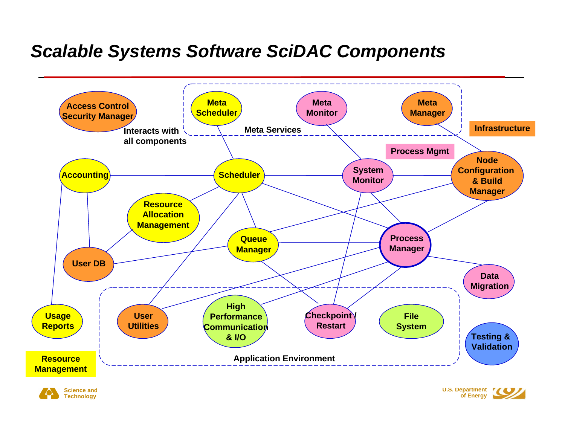### *Scalable Systems Software SciDAC Components*



**Pioneering Science andTechnology**

**Office of Science U.S. Department of Energy**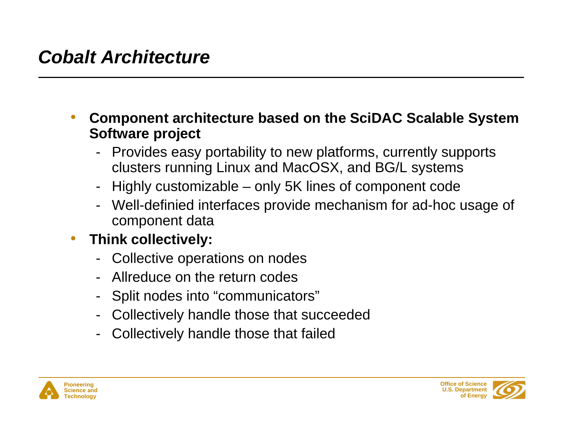- • **Component architecture based on the SciDAC Scalable System Software project**
	- - Provides easy portability to new platforms, currently supports clusters running Linux and MacOSX, and BG/L systems
	- -Highly customizable – only 5K lines of component code
	- - Well-definied interfaces provide mechanism for ad-hoc usage of component data
- $\bullet$  **Think collectively:** 
	- -Collective operations on nodes
	- Allreduce on the return codes
	- -Split nodes into "communicators"
	- -Collectively handle those that succeeded
	- -Collectively handle those that failed



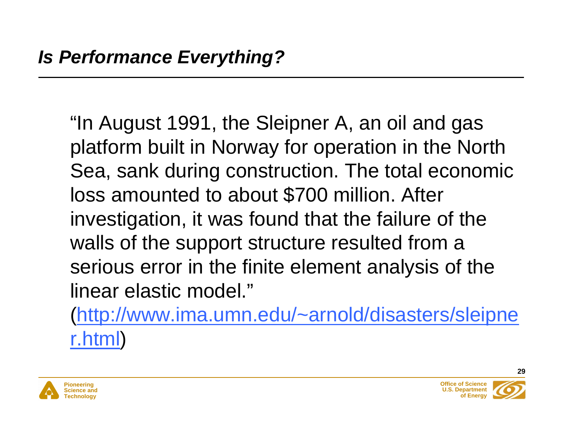"In August 1991, the Sleipner A, an oil and gas platform built in Norway for operation in the North Sea, sank during construction. The total economic loss amounted to about \$700 million. After investigation, it was found that the failure of the walls of the support structure resulted from a serious error in the finite element analysis of the linear elastic model."

(http://www.ima.umn.edu/~arnold/disasters/sleipne r.html)